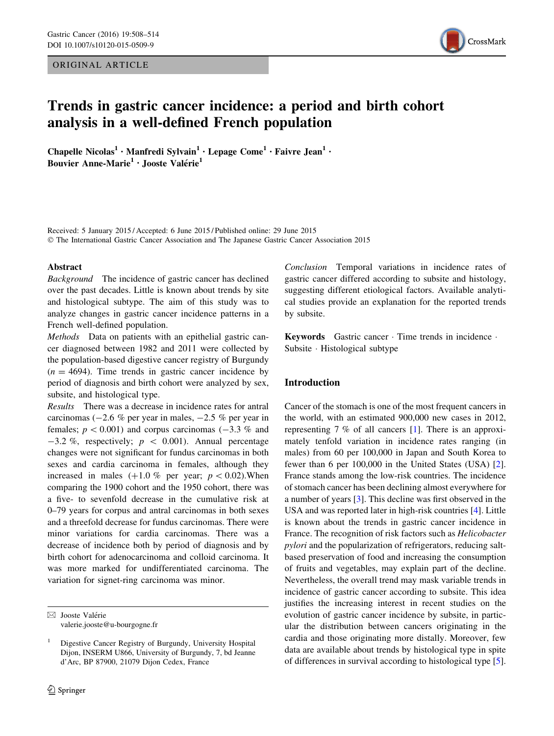ORIGINAL ARTICLE



# Trends in gastric cancer incidence: a period and birth cohort analysis in a well-defined French population

Chapelle Nicolas<sup>1</sup> • Manfredi Sylvain<sup>1</sup> • Lepage Come<sup>1</sup> • Faivre Jean<sup>1</sup> • Bouvier Anne-Marie<sup>1</sup> · Jooste Valérie<sup>1</sup>

Received: 5 January 2015 / Accepted: 6 June 2015 / Published online: 29 June 2015 © The International Gastric Cancer Association and The Japanese Gastric Cancer Association 2015

#### Abstract

Background The incidence of gastric cancer has declined over the past decades. Little is known about trends by site and histological subtype. The aim of this study was to analyze changes in gastric cancer incidence patterns in a French well-defined population.

Methods Data on patients with an epithelial gastric cancer diagnosed between 1982 and 2011 were collected by the population-based digestive cancer registry of Burgundy  $(n = 4694)$ . Time trends in gastric cancer incidence by period of diagnosis and birth cohort were analyzed by sex, subsite, and histological type.

Results There was a decrease in incidence rates for antral carcinomas ( $-2.6$  % per year in males,  $-2.5$  % per year in females;  $p < 0.001$ ) and corpus carcinomas (-3.3 % and  $-3.2$  %, respectively;  $p \, < \, 0.001$ ). Annual percentage changes were not significant for fundus carcinomas in both sexes and cardia carcinoma in females, although they increased in males  $(+1.0 \%$  per year;  $p < 0.02$ ).When comparing the 1900 cohort and the 1950 cohort, there was a five- to sevenfold decrease in the cumulative risk at 0–79 years for corpus and antral carcinomas in both sexes and a threefold decrease for fundus carcinomas. There were minor variations for cardia carcinomas. There was a decrease of incidence both by period of diagnosis and by birth cohort for adenocarcinoma and colloid carcinoma. It was more marked for undifferentiated carcinoma. The variation for signet-ring carcinoma was minor.

Conclusion Temporal variations in incidence rates of gastric cancer differed according to subsite and histology, suggesting different etiological factors. Available analytical studies provide an explanation for the reported trends by subsite.

Keywords Gastric cancer - Time trends in incidence - Subsite - Histological subtype

### Introduction

Cancer of the stomach is one of the most frequent cancers in the world, with an estimated 900,000 new cases in 2012, representing 7 % of all cancers [[1](#page-5-0)]. There is an approximately tenfold variation in incidence rates ranging (in males) from 60 per 100,000 in Japan and South Korea to fewer than 6 per 100,000 in the United States (USA) [\[2](#page-5-0)]. France stands among the low-risk countries. The incidence of stomach cancer has been declining almost everywhere for a number of years [\[3](#page-5-0)]. This decline was first observed in the USA and was reported later in high-risk countries [\[4](#page-5-0)]. Little is known about the trends in gastric cancer incidence in France. The recognition of risk factors such as Helicobacter pylori and the popularization of refrigerators, reducing saltbased preservation of food and increasing the consumption of fruits and vegetables, may explain part of the decline. Nevertheless, the overall trend may mask variable trends in incidence of gastric cancer according to subsite. This idea justifies the increasing interest in recent studies on the evolution of gastric cancer incidence by subsite, in particular the distribution between cancers originating in the cardia and those originating more distally. Moreover, few data are available about trends by histological type in spite of differences in survival according to histological type [\[5](#page-5-0)].

 $\boxtimes$  Jooste Valérie valerie.jooste@u-bourgogne.fr

<sup>1</sup> Digestive Cancer Registry of Burgundy, University Hospital Dijon, INSERM U866, University of Burgundy, 7, bd Jeanne d'Arc, BP 87900, 21079 Dijon Cedex, France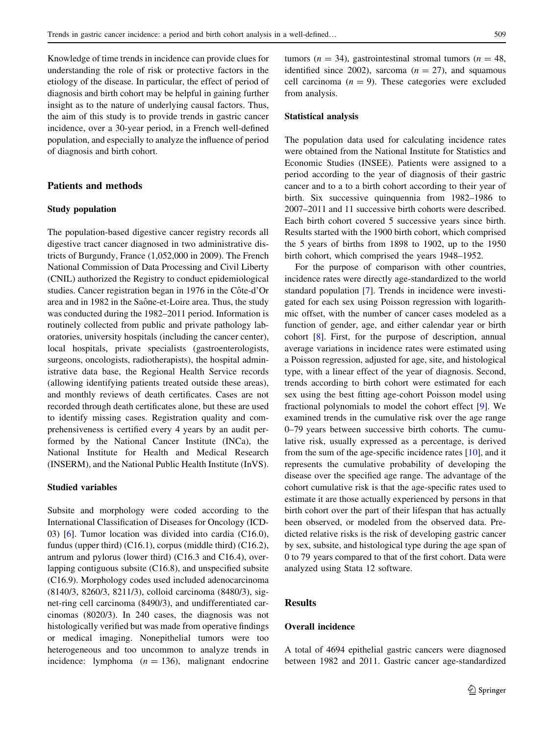Knowledge of time trends in incidence can provide clues for understanding the role of risk or protective factors in the etiology of the disease. In particular, the effect of period of diagnosis and birth cohort may be helpful in gaining further insight as to the nature of underlying causal factors. Thus, the aim of this study is to provide trends in gastric cancer incidence, over a 30-year period, in a French well-defined population, and especially to analyze the influence of period of diagnosis and birth cohort.

## Patients and methods

# Study population

The population-based digestive cancer registry records all digestive tract cancer diagnosed in two administrative districts of Burgundy, France (1,052,000 in 2009). The French National Commission of Data Processing and Civil Liberty (CNIL) authorized the Registry to conduct epidemiological studies. Cancer registration began in 1976 in the Côte-d'Or area and in 1982 in the Saône-et-Loire area. Thus, the study was conducted during the 1982–2011 period. Information is routinely collected from public and private pathology laboratories, university hospitals (including the cancer center), local hospitals, private specialists (gastroenterologists, surgeons, oncologists, radiotherapists), the hospital administrative data base, the Regional Health Service records (allowing identifying patients treated outside these areas), and monthly reviews of death certificates. Cases are not recorded through death certificates alone, but these are used to identify missing cases. Registration quality and comprehensiveness is certified every 4 years by an audit performed by the National Cancer Institute (INCa), the National Institute for Health and Medical Research (INSERM), and the National Public Health Institute (InVS).

### Studied variables

Subsite and morphology were coded according to the International Classification of Diseases for Oncology (ICD-03) [[6\]](#page-5-0). Tumor location was divided into cardia (C16.0), fundus (upper third) (C16.1), corpus (middle third) (C16.2), antrum and pylorus (lower third) (C16.3 and C16.4), overlapping contiguous subsite (C16.8), and unspecified subsite (C16.9). Morphology codes used included adenocarcinoma (8140/3, 8260/3, 8211/3), colloid carcinoma (8480/3), signet-ring cell carcinoma (8490/3), and undifferentiated carcinomas (8020/3). In 240 cases, the diagnosis was not histologically verified but was made from operative findings or medical imaging. Nonepithelial tumors were too heterogeneous and too uncommon to analyze trends in incidence: lymphoma  $(n = 136)$ , malignant endocrine tumors ( $n = 34$ ), gastrointestinal stromal tumors ( $n = 48$ , identified since 2002), sarcoma  $(n = 27)$ , and squamous cell carcinoma ( $n = 9$ ). These categories were excluded from analysis.

#### Statistical analysis

The population data used for calculating incidence rates were obtained from the National Institute for Statistics and Economic Studies (INSEE). Patients were assigned to a period according to the year of diagnosis of their gastric cancer and to a to a birth cohort according to their year of birth. Six successive quinquennia from 1982–1986 to 2007–2011 and 11 successive birth cohorts were described. Each birth cohort covered 5 successive years since birth. Results started with the 1900 birth cohort, which comprised the 5 years of births from 1898 to 1902, up to the 1950 birth cohort, which comprised the years 1948–1952.

For the purpose of comparison with other countries, incidence rates were directly age-standardized to the world standard population [[7\]](#page-5-0). Trends in incidence were investigated for each sex using Poisson regression with logarithmic offset, with the number of cancer cases modeled as a function of gender, age, and either calendar year or birth cohort [\[8](#page-5-0)]. First, for the purpose of description, annual average variations in incidence rates were estimated using a Poisson regression, adjusted for age, site, and histological type, with a linear effect of the year of diagnosis. Second, trends according to birth cohort were estimated for each sex using the best fitting age-cohort Poisson model using fractional polynomials to model the cohort effect [[9\]](#page-5-0). We examined trends in the cumulative risk over the age range 0–79 years between successive birth cohorts. The cumulative risk, usually expressed as a percentage, is derived from the sum of the age-specific incidence rates [\[10](#page-5-0)], and it represents the cumulative probability of developing the disease over the specified age range. The advantage of the cohort cumulative risk is that the age-specific rates used to estimate it are those actually experienced by persons in that birth cohort over the part of their lifespan that has actually been observed, or modeled from the observed data. Predicted relative risks is the risk of developing gastric cancer by sex, subsite, and histological type during the age span of 0 to 79 years compared to that of the first cohort. Data were analyzed using Stata 12 software.

## Results

## Overall incidence

A total of 4694 epithelial gastric cancers were diagnosed between 1982 and 2011. Gastric cancer age-standardized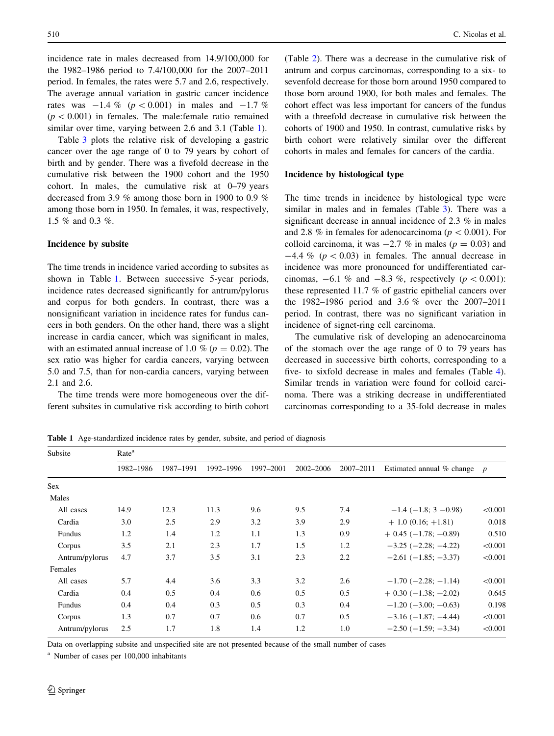incidence rate in males decreased from 14.9/100,000 for the 1982–1986 period to 7.4/100,000 for the 2007–2011 period. In females, the rates were 5.7 and 2.6, respectively. The average annual variation in gastric cancer incidence rates was  $-1.4 \%$  ( $p < 0.001$ ) in males and  $-1.7 \%$  $(p<0.001)$  in females. The male:female ratio remained similar over time, varying between 2.6 and 3.1 (Table 1).

Table [3](#page-3-0) plots the relative risk of developing a gastric cancer over the age range of 0 to 79 years by cohort of birth and by gender. There was a fivefold decrease in the cumulative risk between the 1900 cohort and the 1950 cohort. In males, the cumulative risk at 0–79 years decreased from 3.9 % among those born in 1900 to 0.9 % among those born in 1950. In females, it was, respectively, 1.5 % and 0.3 %.

#### Incidence by subsite

The time trends in incidence varied according to subsites as shown in Table 1. Between successive 5-year periods, incidence rates decreased significantly for antrum/pylorus and corpus for both genders. In contrast, there was a nonsignificant variation in incidence rates for fundus cancers in both genders. On the other hand, there was a slight increase in cardia cancer, which was significant in males, with an estimated annual increase of 1.0 % ( $p = 0.02$ ). The sex ratio was higher for cardia cancers, varying between 5.0 and 7.5, than for non-cardia cancers, varying between 2.1 and 2.6.

The time trends were more homogeneous over the different subsites in cumulative risk according to birth cohort (Table [2\)](#page-3-0). There was a decrease in the cumulative risk of antrum and corpus carcinomas, corresponding to a six- to sevenfold decrease for those born around 1950 compared to those born around 1900, for both males and females. The cohort effect was less important for cancers of the fundus with a threefold decrease in cumulative risk between the cohorts of 1900 and 1950. In contrast, cumulative risks by birth cohort were relatively similar over the different cohorts in males and females for cancers of the cardia.

## Incidence by histological type

The time trends in incidence by histological type were similar in males and in females (Table [3](#page-3-0)). There was a significant decrease in annual incidence of 2.3 % in males and 2.8 % in females for adenocarcinoma ( $p\lt0.001$ ). For colloid carcinoma, it was  $-2.7$  % in males ( $p = 0.03$ ) and  $-4.4\%$  ( $p < 0.03$ ) in females. The annual decrease in incidence was more pronounced for undifferentiated carcinomas,  $-6.1$  % and  $-8.3$  %, respectively ( $p < 0.001$ ): these represented 11.7 % of gastric epithelial cancers over the 1982–1986 period and 3.6 % over the 2007–2011 period. In contrast, there was no significant variation in incidence of signet-ring cell carcinoma.

The cumulative risk of developing an adenocarcinoma of the stomach over the age range of 0 to 79 years has decreased in successive birth cohorts, corresponding to a five- to sixfold decrease in males and females (Table [4](#page-4-0)). Similar trends in variation were found for colloid carcinoma. There was a striking decrease in undifferentiated carcinomas corresponding to a 35-fold decrease in males

Table 1 Age-standardized incidence rates by gender, subsite, and period of diagnosis

| Subsite        | Rate <sup>a</sup>      |      |           |           |           |           |                               |                  |  |  |  |  |  |
|----------------|------------------------|------|-----------|-----------|-----------|-----------|-------------------------------|------------------|--|--|--|--|--|
|                | 1982-1986<br>1987-1991 |      | 1992-1996 | 1997-2001 | 2002-2006 | 2007-2011 | Estimated annual % change     | $\boldsymbol{p}$ |  |  |  |  |  |
| Sex            |                        |      |           |           |           |           |                               |                  |  |  |  |  |  |
| Males          |                        |      |           |           |           |           |                               |                  |  |  |  |  |  |
| All cases      | 14.9                   | 12.3 | 11.3      | 9.6       | 9.5       | 7.4       | $-1.4$ ( $-1.8$ ; 3 $-0.98$ ) | < 0.001          |  |  |  |  |  |
| Cardia         | 3.0                    | 2.5  | 2.9       | 3.2       | 3.9       | 2.9       | $+1.0(0.16; +1.81)$           | 0.018            |  |  |  |  |  |
| Fundus         | 1.2                    | 1.4  | 1.2       | 1.1       | 1.3       | 0.9       | $+$ 0.45 (-1.78; +0.89)       | 0.510            |  |  |  |  |  |
| Corpus         | 3.5                    | 2.1  | 2.3       | 1.7       | 1.5       | 1.2       | $-3.25$ ( $-2.28$ ; $-4.22$ ) | < 0.001          |  |  |  |  |  |
| Antrum/pylorus | 4.7                    | 3.7  | 3.5       | 3.1       | 2.3       | 2.2       | $-2.61(-1.85; -3.37)$         | < 0.001          |  |  |  |  |  |
| Females        |                        |      |           |           |           |           |                               |                  |  |  |  |  |  |
| All cases      | 5.7                    | 4.4  | 3.6       | 3.3       | 3.2       | 2.6       | $-1.70$ ( $-2.28$ ; $-1.14$ ) | < 0.001          |  |  |  |  |  |
| Cardia         | 0.4                    | 0.5  | 0.4       | 0.6       | 0.5       | 0.5       | $+$ 0.30 (-1.38; +2.02)       | 0.645            |  |  |  |  |  |
| Fundus         | 0.4                    | 0.4  | 0.3       | 0.5       | 0.3       | 0.4       | $+1.20$ (-3.00; +0.63)        | 0.198            |  |  |  |  |  |
| Corpus         | 1.3                    | 0.7  | 0.7       | 0.6       | 0.7       | 0.5       | $-3.16$ ( $-1.87$ ; $-4.44$ ) | < 0.001          |  |  |  |  |  |
| Antrum/pylorus | 2.5                    | 1.7  | 1.8       | 1.4       | 1.2       | 1.0       | $-2.50$ ( $-1.59$ ; $-3.34$ ) | < 0.001          |  |  |  |  |  |

Data on overlapping subsite and unspecified site are not presented because of the small number of cases

<sup>a</sup> Number of cases per 100,000 inhabitants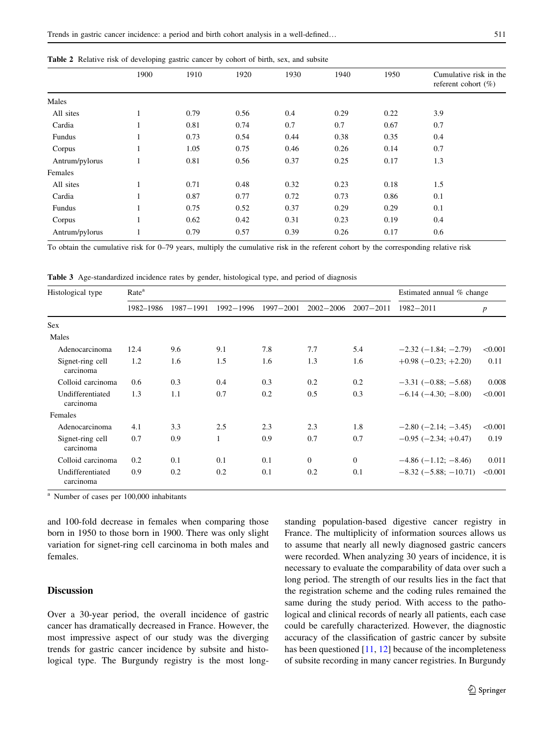|                | 1900 | 1910 | 1920 | 1930 | 1950<br>1940 |      | Cumulative risk in the<br>referent cohort $(\% )$ |
|----------------|------|------|------|------|--------------|------|---------------------------------------------------|
| Males          |      |      |      |      |              |      |                                                   |
| All sites      |      | 0.79 | 0.56 | 0.4  | 0.29         | 0.22 | 3.9                                               |
| Cardia         |      | 0.81 | 0.74 | 0.7  | 0.7          | 0.67 | 0.7                                               |
| Fundus         |      | 0.73 | 0.54 | 0.44 | 0.38         | 0.35 | 0.4                                               |
| Corpus         |      | 1.05 | 0.75 | 0.46 | 0.26         | 0.14 | 0.7                                               |
| Antrum/pylorus |      | 0.81 | 0.56 | 0.37 | 0.25         | 0.17 | 1.3                                               |
| Females        |      |      |      |      |              |      |                                                   |
| All sites      | 1    | 0.71 | 0.48 | 0.32 | 0.23         | 0.18 | 1.5                                               |
| Cardia         |      | 0.87 | 0.77 | 0.72 | 0.73         | 0.86 | 0.1                                               |
| Fundus         | 1    | 0.75 | 0.52 | 0.37 | 0.29         | 0.29 | 0.1                                               |
| Corpus         |      | 0.62 | 0.42 | 0.31 | 0.23         | 0.19 | 0.4                                               |
| Antrum/pylorus |      | 0.79 | 0.57 | 0.39 | 0.26         | 0.17 | 0.6                                               |
|                |      |      |      |      |              |      |                                                   |

<span id="page-3-0"></span>

|  |  |  | Table 2 Relative risk of developing gastric cancer by cohort of birth, sex, and subsite |  |  |  |  |  |  |  |  |  |
|--|--|--|-----------------------------------------------------------------------------------------|--|--|--|--|--|--|--|--|--|
|--|--|--|-----------------------------------------------------------------------------------------|--|--|--|--|--|--|--|--|--|

To obtain the cumulative risk for 0–79 years, multiply the cumulative risk in the referent cohort by the corresponding relative risk

Table 3 Age-standardized incidence rates by gender, histological type, and period of diagnosis

| Histological type             | Rate <sup>a</sup> |           | Estimated annual % change |           |               |                |                                |         |
|-------------------------------|-------------------|-----------|---------------------------|-----------|---------------|----------------|--------------------------------|---------|
|                               | 1982-1986         | 1987-1991 | 1992-1996                 | 1997-2001 | $2002 - 2006$ | $2007 - 2011$  | $1982 - 2011$                  | p       |
| <b>Sex</b>                    |                   |           |                           |           |               |                |                                |         |
| Males                         |                   |           |                           |           |               |                |                                |         |
| Adenocarcinoma                | 12.4              | 9.6       | 9.1                       | 7.8       | 7.7           | 5.4            | $-2.32$ ( $-1.84$ ; $-2.79$ )  | < 0.001 |
| Signet-ring cell<br>carcinoma | 1.2               | 1.6       | 1.5                       | 1.6       | 1.3           | 1.6            | $+0.98$ ( $-0.23$ ; $+2.20$ )  | 0.11    |
| Colloid carcinoma             | 0.6               | 0.3       | 0.4                       | 0.3       | 0.2           | 0.2            | $-3.31$ ( $-0.88$ ; $-5.68$ )  | 0.008   |
| Undifferentiated<br>carcinoma | 1.3               | 1.1       | 0.7                       | 0.2       | 0.5           | 0.3            | $-6.14(-4.30; -8.00)$          | < 0.001 |
| Females                       |                   |           |                           |           |               |                |                                |         |
| Adenocarcinoma                | 4.1               | 3.3       | 2.5                       | 2.3       | 2.3           | 1.8            | $-2.80$ ( $-2.14$ ; $-3.45$ )  | < 0.001 |
| Signet-ring cell<br>carcinoma | 0.7               | 0.9       | 1                         | 0.9       | 0.7           | 0.7            | $-0.95$ ( $-2.34$ ; $+0.47$ )  | 0.19    |
| Colloid carcinoma             | 0.2               | 0.1       | 0.1                       | 0.1       | $\mathbf{0}$  | $\overline{0}$ | $-4.86$ ( $-1.12$ ; $-8.46$ )  | 0.011   |
| Undifferentiated<br>carcinoma | 0.9               | 0.2       | 0.2                       | 0.1       | 0.2           | 0.1            | $-8.32$ ( $-5.88$ ; $-10.71$ ) | < 0.001 |

<sup>a</sup> Number of cases per 100,000 inhabitants

and 100-fold decrease in females when comparing those born in 1950 to those born in 1900. There was only slight variation for signet-ring cell carcinoma in both males and females.

# **Discussion**

Over a 30-year period, the overall incidence of gastric cancer has dramatically decreased in France. However, the most impressive aspect of our study was the diverging trends for gastric cancer incidence by subsite and histological type. The Burgundy registry is the most longstanding population-based digestive cancer registry in France. The multiplicity of information sources allows us to assume that nearly all newly diagnosed gastric cancers were recorded. When analyzing 30 years of incidence, it is necessary to evaluate the comparability of data over such a long period. The strength of our results lies in the fact that the registration scheme and the coding rules remained the same during the study period. With access to the pathological and clinical records of nearly all patients, each case could be carefully characterized. However, the diagnostic accuracy of the classification of gastric cancer by subsite has been questioned [\[11](#page-5-0), [12](#page-5-0)] because of the incompleteness of subsite recording in many cancer registries. In Burgundy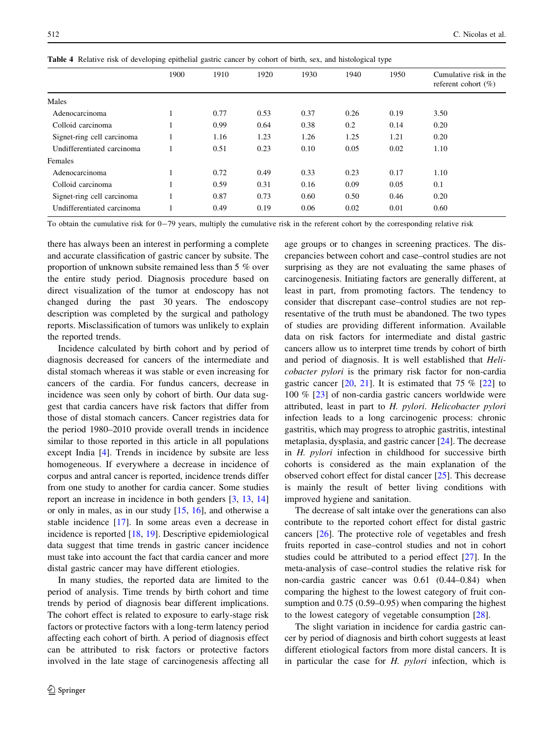|                            | 1900    | 1910 | 1920 | 1930 | 1940 | 1950 | Cumulative risk in the<br>referent cohort $(\% )$ |
|----------------------------|---------|------|------|------|------|------|---------------------------------------------------|
| Males                      |         |      |      |      |      |      |                                                   |
| Adenocarcinoma             |         | 0.77 | 0.53 | 0.37 | 0.26 | 0.19 | 3.50                                              |
| Colloid carcinoma          | $\perp$ | 0.99 | 0.64 | 0.38 | 0.2  | 0.14 | 0.20                                              |
| Signet-ring cell carcinoma |         | 1.16 | 1.23 | 1.26 | 1.25 | 1.21 | 0.20                                              |
| Undifferentiated carcinoma |         | 0.51 | 0.23 | 0.10 | 0.05 | 0.02 | 1.10                                              |
| Females                    |         |      |      |      |      |      |                                                   |
| Adenocarcinoma             |         | 0.72 | 0.49 | 0.33 | 0.23 | 0.17 | 1.10                                              |
| Colloid carcinoma          |         | 0.59 | 0.31 | 0.16 | 0.09 | 0.05 | 0.1                                               |
| Signet-ring cell carcinoma |         | 0.87 | 0.73 | 0.60 | 0.50 | 0.46 | 0.20                                              |
| Undifferentiated carcinoma |         | 0.49 | 0.19 | 0.06 | 0.02 | 0.01 | 0.60                                              |
|                            |         |      |      |      |      |      |                                                   |

<span id="page-4-0"></span>Table 4 Relative risk of developing epithelial gastric cancer by cohort of birth, sex, and histological type

To obtain the cumulative risk for 0-79 years, multiply the cumulative risk in the referent cohort by the corresponding relative risk

there has always been an interest in performing a complete and accurate classification of gastric cancer by subsite. The proportion of unknown subsite remained less than 5 % over the entire study period. Diagnosis procedure based on direct visualization of the tumor at endoscopy has not changed during the past 30 years. The endoscopy description was completed by the surgical and pathology reports. Misclassification of tumors was unlikely to explain the reported trends.

Incidence calculated by birth cohort and by period of diagnosis decreased for cancers of the intermediate and distal stomach whereas it was stable or even increasing for cancers of the cardia. For fundus cancers, decrease in incidence was seen only by cohort of birth. Our data suggest that cardia cancers have risk factors that differ from those of distal stomach cancers. Cancer registries data for the period 1980–2010 provide overall trends in incidence similar to those reported in this article in all populations except India [[4\]](#page-5-0). Trends in incidence by subsite are less homogeneous. If everywhere a decrease in incidence of corpus and antral cancer is reported, incidence trends differ from one study to another for cardia cancer. Some studies report an increase in incidence in both genders [\[3](#page-5-0), [13](#page-5-0), [14\]](#page-5-0) or only in males, as in our study  $[15, 16]$  $[15, 16]$  $[15, 16]$  $[15, 16]$ , and otherwise a stable incidence [\[17](#page-5-0)]. In some areas even a decrease in incidence is reported [\[18](#page-6-0), [19\]](#page-6-0). Descriptive epidemiological data suggest that time trends in gastric cancer incidence must take into account the fact that cardia cancer and more distal gastric cancer may have different etiologies.

In many studies, the reported data are limited to the period of analysis. Time trends by birth cohort and time trends by period of diagnosis bear different implications. The cohort effect is related to exposure to early-stage risk factors or protective factors with a long-term latency period affecting each cohort of birth. A period of diagnosis effect can be attributed to risk factors or protective factors involved in the late stage of carcinogenesis affecting all age groups or to changes in screening practices. The discrepancies between cohort and case–control studies are not surprising as they are not evaluating the same phases of carcinogenesis. Initiating factors are generally different, at least in part, from promoting factors. The tendency to consider that discrepant case–control studies are not representative of the truth must be abandoned. The two types of studies are providing different information. Available data on risk factors for intermediate and distal gastric cancers allow us to interpret time trends by cohort of birth and period of diagnosis. It is well established that Helicobacter pylori is the primary risk factor for non-cardia gastric cancer  $[20, 21]$  $[20, 21]$  $[20, 21]$  $[20, 21]$  $[20, 21]$ . It is estimated that 75 %  $[22]$  $[22]$  to 100 % [[23\]](#page-6-0) of non-cardia gastric cancers worldwide were attributed, least in part to H. pylori. Helicobacter pylori infection leads to a long carcinogenic process: chronic gastritis, which may progress to atrophic gastritis, intestinal metaplasia, dysplasia, and gastric cancer [[24\]](#page-6-0). The decrease in H. pylori infection in childhood for successive birth cohorts is considered as the main explanation of the observed cohort effect for distal cancer [\[25](#page-6-0)]. This decrease is mainly the result of better living conditions with improved hygiene and sanitation.

The decrease of salt intake over the generations can also contribute to the reported cohort effect for distal gastric cancers [[26\]](#page-6-0). The protective role of vegetables and fresh fruits reported in case–control studies and not in cohort studies could be attributed to a period effect [[27\]](#page-6-0). In the meta-analysis of case–control studies the relative risk for non-cardia gastric cancer was 0.61 (0.44–0.84) when comparing the highest to the lowest category of fruit consumption and 0.75 (0.59–0.95) when comparing the highest to the lowest category of vegetable consumption [[28\]](#page-6-0).

The slight variation in incidence for cardia gastric cancer by period of diagnosis and birth cohort suggests at least different etiological factors from more distal cancers. It is in particular the case for H. pylori infection, which is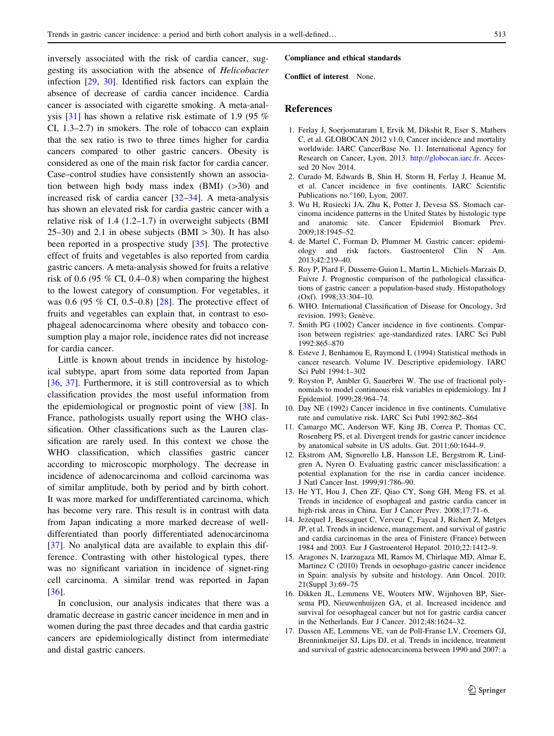<span id="page-5-0"></span>inversely associated with the risk of cardia cancer, suggesting its association with the absence of Helicobacter infection [\[29](#page-6-0), [30](#page-6-0)]. Identified risk factors can explain the absence of decrease of cardia cancer incidence. Cardia cancer is associated with cigarette smoking. A meta-analysis [[31\]](#page-6-0) has shown a relative risk estimate of 1.9 (95 % CI, 1.3–2.7) in smokers. The role of tobacco can explain that the sex ratio is two to three times higher for cardia cancers compared to other gastric cancers. Obesity is considered as one of the main risk factor for cardia cancer. Case–control studies have consistently shown an association between high body mass index  $(BMI)$  ( $>30$ ) and increased risk of cardia cancer [[32–34](#page-6-0)]. A meta-analysis has shown an elevated risk for cardia gastric cancer with a relative risk of 1.4 (1.2–1.7) in overweight subjects (BMI 25–30) and 2.1 in obese subjects (BMI  $>$  30). It has also been reported in a prospective study [[35\]](#page-6-0). The protective effect of fruits and vegetables is also reported from cardia gastric cancers. A meta-analysis showed for fruits a relative risk of 0.6 (95  $%$  CI, 0.4–0.8) when comparing the highest to the lowest category of consumption. For vegetables, it was 0.6 (95 % CI, 0.5–0.8) [[28\]](#page-6-0). The protective effect of fruits and vegetables can explain that, in contrast to esophageal adenocarcinoma where obesity and tobacco consumption play a major role, incidence rates did not increase for cardia cancer.

Little is known about trends in incidence by histological subtype, apart from some data reported from Japan [\[36](#page-6-0), [37\]](#page-6-0). Furthermore, it is still controversial as to which classification provides the most useful information from the epidemiological or prognostic point of view [[38\]](#page-6-0). In France, pathologists usually report using the WHO classification. Other classifications such as the Lauren classification are rarely used. In this context we chose the WHO classification, which classifies gastric cancer according to microscopic morphology. The decrease in incidence of adenocarcinoma and colloid carcinoma was of similar amplitude, both by period and by birth cohort. It was more marked for undifferentiated carcinoma, which has become very rare. This result is in contrast with data from Japan indicating a more marked decrease of welldifferentiated than poorly differentiated adenocarcinoma [\[37](#page-6-0)]. No analytical data are available to explain this difference. Contrasting with other histological types, there was no significant variation in incidence of signet-ring cell carcinoma. A similar trend was reported in Japan [\[36](#page-6-0)].

In conclusion, our analysis indicates that there was a dramatic decrease in gastric cancer incidence in men and in women during the past three decades and that cardia gastric cancers are epidemiologically distinct from intermediate and distal gastric cancers.

#### Compliance and ethical standards

Conflict of interest None.

### References

- 1. Ferlay J, Soerjomataram I, Ervik M, Dikshit R, Eser S, Mathers C, et al. GLOBOCAN 2012 v1.0, Cancer incidence and mortality worldwide: IARC CancerBase No. 11. International Agency for Research on Cancer, Lyon, 2013. <http://globocan.iarc.fr>. Accessed 20 Nov 2014.
- 2. Curado M, Edwards B, Shin H, Storm H, Ferlay J, Heanue M, et al. Cancer incidence in five continents. IARC Scientific Publications no.<sup>o</sup>160, Lyon, 2007.
- 3. Wu H, Rusiecki JA, Zhu K, Potter J, Devesa SS. Stomach carcinoma incidence patterns in the United States by histologic type and anatomic site. Cancer Epidemiol Biomark Prev. 2009;18:1945–52.
- 4. de Martel C, Forman D, Plummer M. Gastric cancer: epidemiology and risk factors. Gastroenterol Clin N Am. 2013;42:219–40.
- 5. Roy P, Piard F, Dusserre-Guion L, Martin L, Michiels-Marzais D, Faivre J. Prognostic comparison of the pathological classifications of gastric cancer: a population-based study. Histopathology (Oxf). 1998;33:304–10.
- 6. WHO. International Classification of Disease for Oncology, 3rd revision. 1993; Genève.
- 7. Smith PG (1002) Cancer incidence in five continents. Comparison between registries: age-standardized rates. IARC Sci Publ 1992:865–870
- 8. Esteve J, Benhamou E, Raymond L (1994) Statistical methods in cancer research. Volume IV. Descriptive epidemiology. IARC Sci Publ 1994:1–302
- 9. Royston P, Ambler G, Sauerbrei W. The use of fractional polynomials to model continuous risk variables in epidemiology. Int J Epidemiol. 1999;28:964–74.
- 10. Day NE (1992) Cancer incidence in five continents. Cumulative rate and cumulative risk. IARC Sci Publ 1992:862–864
- 11. Camargo MC, Anderson WF, King JB, Correa P, Thomas CC, Rosenberg PS, et al. Divergent trends for gastric cancer incidence by anatomical subsite in US adults. Gut. 2011;60:1644–9.
- 12. Ekstrom AM, Signorello LB, Hansson LE, Bergstrom R, Lindgren A, Nyren O. Evaluating gastric cancer misclassification: a potential explanation for the rise in cardia cancer incidence. J Natl Cancer Inst. 1999;91:786–90.
- 13. He YT, Hou J, Chen ZF, Qiao CY, Song GH, Meng FS, et al. Trends in incidence of esophageal and gastric cardia cancer in high-risk areas in China. Eur J Cancer Prev. 2008;17:71-6.
- 14. Jezequel J, Bessaguet C, Verveur C, Faycal J, Richert Z, Metges JP, et al. Trends in incidence, management, and survival of gastric and cardia carcinomas in the area of Finistere (France) between 1984 and 2003. Eur J Gastroenterol Hepatol. 2010;22:1412–9.
- 15. Aragones N, Izarzugaza MI, Ramos M, Chirlaque MD, Almar E, Martinez C (2010) Trends in oesophago-gastric cancer incidence in Spain: analysis by subsite and histology. Ann Oncol. 2010; 21(Suppl 3):69–75
- 16. Dikken JL, Lemmens VE, Wouters MW, Wijnhoven BP, Siersema PD, Nieuwenhuijzen GA, et al. Increased incidence and survival for oesophageal cancer but not for gastric cardia cancer in the Netherlands. Eur J Cancer. 2012;48:1624–32.
- 17. Dassen AE, Lemmens VE, van de Poll-Franse LV, Creemers GJ, Brenninkmeijer SJ, Lips DJ, et al. Trends in incidence, treatment and survival of gastric adenocarcinoma between 1990 and 2007: a